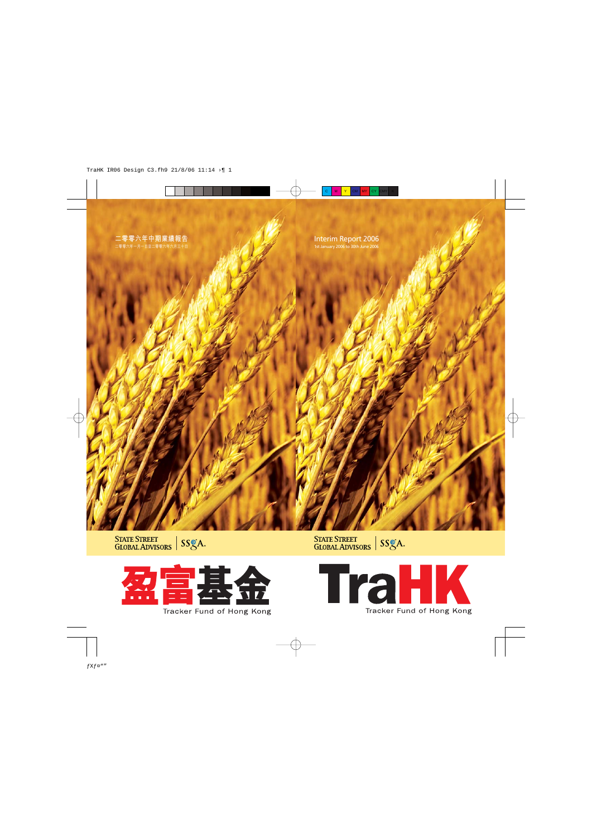# Interim Report 2006 1st January 2006 to 30th June 2006

STATE STREET<br>GLOBAL ADVISORS | SSGA.

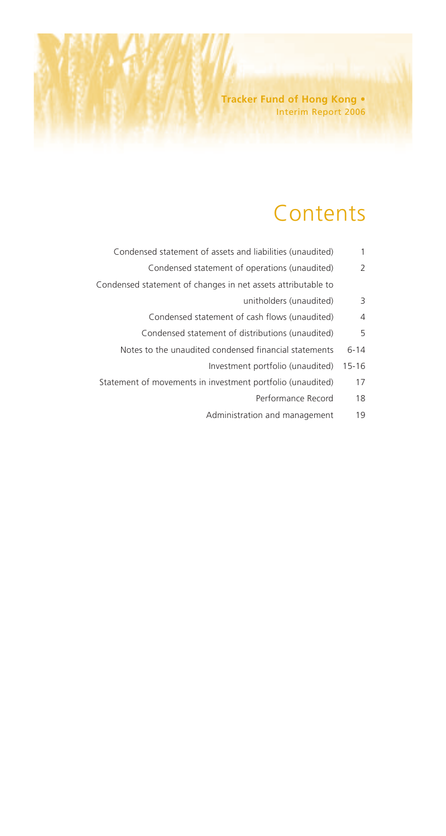# **Contents**

- Condensed statement of assets and liabilities (unaudited) 1
	- Condensed statement of operations (unaudited) 2
- Condensed statement of changes in net assets attributable to
	- unitholders (unaudited) 3
	- Condensed statement of cash flows (unaudited) 4
	- Condensed statement of distributions (unaudited) 5
	- Notes to the unaudited condensed financial statements 6-14
		- Investment portfolio (unaudited) 15-16
	- Statement of movements in investment portfolio (unaudited) 17
		- Performance Record 18
		- Administration and management 19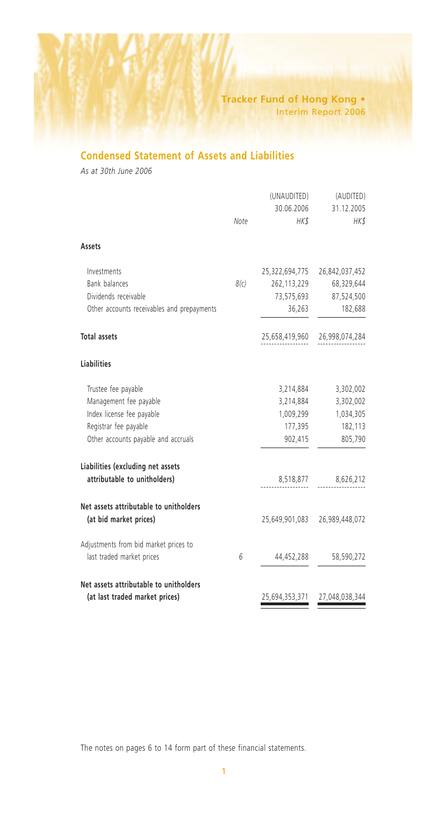# **Condensed Statement of Assets and Liabilities**

*As at 30th June 2006*

|                                                                   |      | (UNAUDITED)<br>30.06.2006 | (AUDITED)<br>31.12.2005       |
|-------------------------------------------------------------------|------|---------------------------|-------------------------------|
|                                                                   | Note | HK\$                      | HK\$                          |
| Assets                                                            |      |                           |                               |
| Investments                                                       |      | 25,322,694,775            | 26,842,037,452                |
| <b>Bank balances</b>                                              | 8(c) | 262,113,229               | 68,329,644                    |
| Dividends receivable                                              |      |                           | 73,575,693 87,524,500         |
| Other accounts receivables and prepayments                        |      | 36,263                    | 182,688                       |
| <b>Total assets</b>                                               |      | 25,658,419,960            | 26,998,074,284                |
| <b>Liabilities</b>                                                |      |                           |                               |
| Trustee fee payable                                               |      | 3,214,884                 | 3,302,002                     |
| Management fee payable                                            |      | 3,214,884                 | 3,302,002                     |
| Index license fee payable                                         |      | 1,009,299                 | 1,034,305                     |
| Registrar fee payable                                             |      | 177,395                   | 182,113                       |
| Other accounts payable and accruals                               |      | 902,415                   | 805,790                       |
| Liabilities (excluding net assets<br>attributable to unitholders) |      |                           | 8,518,877 8,626,212           |
|                                                                   |      |                           |                               |
| Net assets attributable to unitholders<br>(at bid market prices)  |      |                           | 25,649,901,083 26,989,448,072 |
| Adjustments from bid market prices to                             |      |                           |                               |
| last traded market prices                                         | 6    | 44,452,288                | 58,590,272                    |
| Net assets attributable to unitholders                            |      |                           |                               |
| (at last traded market prices)                                    |      | 25,694,353,371            | 27,048,038,344                |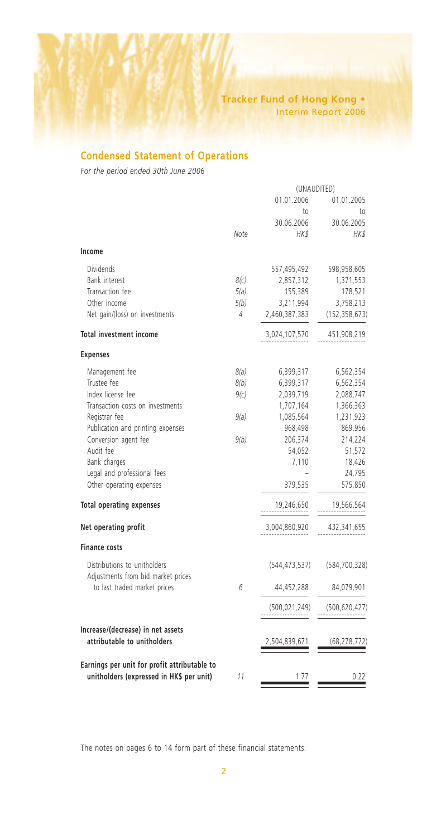# **Condensed Statement of Operations**

*For the period ended 30th June 2006*

|      | (UNAUDITED)     |                 |
|------|-----------------|-----------------|
|      | 01.01.2006      | 01.01.2005      |
|      | to              | to              |
|      | 30.06.2006      | 30.06.2005      |
| Note | HK\$            | HK\$            |
|      |                 |                 |
|      | 557,495,492     | 598,958,605     |
| 8(c) | 2,857,312       | 1,371,553       |
| 5(a) | 155,389         | 178,521         |
| 5(b) | 3,211,994       | 3,758,213       |
| 4    | 2,460,387,383   | (152, 358, 673) |
|      | 3,024,107,570   | 451,908,219     |
|      |                 |                 |
| 8(a) | 6,399,317       | 6,562,354       |
| 8(b) | 6,399,317       | 6,562,354       |
| 9(c) | 2,039,719       | 2,088,747       |
|      | 1,707,164       | 1,366,363       |
| 9(a) | 1,085,564       | 1,231,923       |
|      | 968,498         | 869,956         |
| 9(b) | 206,374         | 214,224         |
|      | 54,052          | 51,572          |
|      | 7,110           | 18,426          |
|      |                 | 24,795          |
|      | 379,535         | 575,850         |
|      | 19,246,650      | 19,566,564      |
|      | 3,004,860,920   | 432,341,655     |
|      |                 |                 |
|      | (544, 473, 537) | (584, 700, 328) |
| 6    | 44,452,288      | 84,079,901      |
|      | (500, 021, 249) | (500, 620, 427) |
|      | 2,504,839,671   | (68, 278, 772)  |
| 11   | 1.77            | 0.22            |
|      |                 |                 |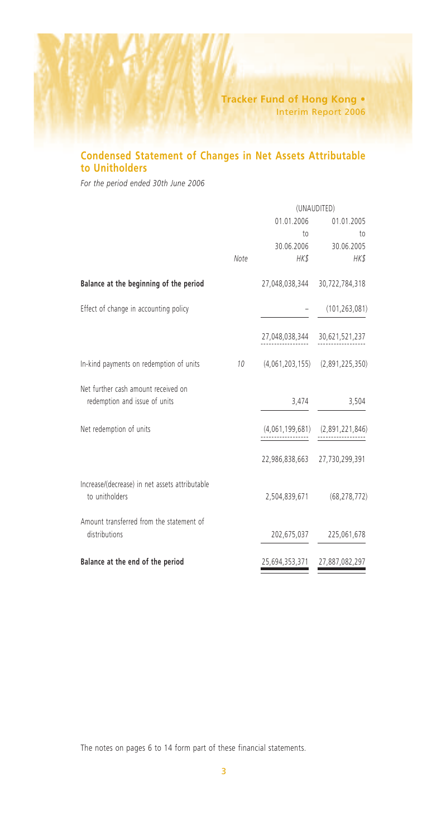# **Condensed Statement of Changes in Net Assets Attributable to Unitholders**

*For the period ended 30th June 2006*

|                                                                      |      | (UNAUDITED)     |                                     |
|----------------------------------------------------------------------|------|-----------------|-------------------------------------|
|                                                                      |      | 01.01.2006      | 01.01.2005                          |
|                                                                      |      | to              | to                                  |
|                                                                      |      | 30.06.2006      | 30.06.2005                          |
|                                                                      | Note | HK\$            | HK\$                                |
| Balance at the beginning of the period                               |      | 27,048,038,344  | 30,722,784,318                      |
| Effect of change in accounting policy                                |      |                 | (101, 263, 081)                     |
|                                                                      |      | 27,048,038,344  | 30,621,521,237                      |
| In-kind payments on redemption of units                              | 10   |                 | $(4,061,203,155)$ $(2,891,225,350)$ |
| Net further cash amount received on<br>redemption and issue of units |      | 3,474           | 3,504                               |
|                                                                      |      |                 |                                     |
| Net redemption of units                                              |      | (4,061,199,681) | (2,891,221,846)                     |
|                                                                      |      | 22,986,838,663  | 27,730,299,391                      |
| Increase/(decrease) in net assets attributable<br>to unitholders     |      | 2,504,839,671   | (68, 278, 772)                      |
| Amount transferred from the statement of<br>distributions            |      | 202,675,037     | 225,061,678                         |
| Balance at the end of the period                                     |      | 25,694,353,371  | 27,887,082,297                      |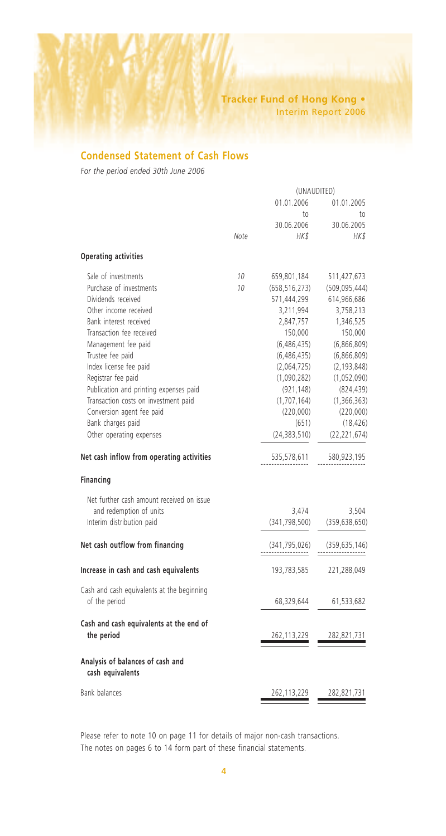## **Condensed Statement of Cash Flows**

*For the period ended 30th June 2006*

|                                                      |      | (UNAUDITED)     |                 |
|------------------------------------------------------|------|-----------------|-----------------|
|                                                      |      | 01.01.2006      | 01.01.2005      |
|                                                      |      | to              | to              |
|                                                      |      | 30.06.2006      | 30.06.2005      |
|                                                      | Note | HK\$            | HK\$            |
| <b>Operating activities</b>                          |      |                 |                 |
| Sale of investments                                  | 10   | 659,801,184     | 511,427,673     |
| Purchase of investments                              | 10   | (658, 516, 273) | (509, 095, 444) |
| Dividends received                                   |      | 571,444,299     | 614,966,686     |
| Other income received                                |      | 3,211,994       | 3,758,213       |
| Bank interest received                               |      | 2,847,757       | 1,346,525       |
| Transaction fee received                             |      | 150,000         | 150,000         |
| Management fee paid                                  |      | (6,486,435)     | (6,866,809)     |
| Trustee fee paid                                     |      | (6,486,435)     | (6,866,809)     |
| Index license fee paid                               |      | (2,064,725)     | (2, 193, 848)   |
| Registrar fee paid                                   |      | (1,090,282)     | (1,052,090)     |
| Publication and printing expenses paid               |      | (921, 148)      | (824, 439)      |
| Transaction costs on investment paid                 |      | (1,707,164)     | (1,366,363)     |
| Conversion agent fee paid                            |      | (220,000)       | (220,000)       |
| Bank charges paid                                    |      | (651)           | (18, 426)       |
| Other operating expenses                             |      | (24, 383, 510)  | (22, 221, 674)  |
| Net cash inflow from operating activities            |      | 535,578,611     | 580,923,195     |
| Financing                                            |      |                 |                 |
| Net further cash amount received on issue            |      |                 |                 |
| and redemption of units                              |      | 3,474           | 3,504           |
| Interim distribution paid                            |      | (341, 798, 500) | (359, 638, 650) |
| Net cash outflow from financing                      |      | (341, 795, 026) | (359, 635, 146) |
| Increase in cash and cash equivalents                |      | 193,783,585     | 221,288,049     |
| Cash and cash equivalents at the beginning           |      |                 |                 |
| of the period                                        |      | 68,329,644      | 61,533,682      |
| Cash and cash equivalents at the end of              |      |                 |                 |
| the period                                           |      | 262,113,229     | 282,821,731     |
| Analysis of balances of cash and<br>cash equivalents |      |                 |                 |
| <b>Bank balances</b>                                 |      | 262,113,229     | 282,821,731     |
|                                                      |      |                 |                 |

Please refer to note 10 on page 11 for details of major non-cash transactions. The notes on pages 6 to 14 form part of these financial statements.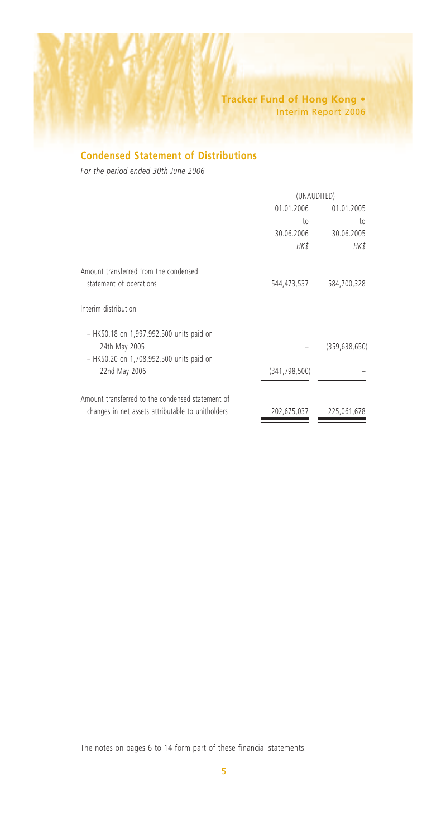# **Condensed Statement of Distributions**

*For the period ended 30th June 2006*

|                                                   | (UNAUDITED)     |                 |
|---------------------------------------------------|-----------------|-----------------|
|                                                   | 01.01.2006      | 01.01.2005      |
|                                                   | to              | to              |
|                                                   | 30.06.2006      | 30.06.2005      |
|                                                   | HK\$            | HK\$            |
| Amount transferred from the condensed             |                 |                 |
| statement of operations                           | 544,473,537     | 584,700,328     |
| Interim distribution                              |                 |                 |
| - HK\$0.18 on 1,997,992,500 units paid on         |                 |                 |
| 24th May 2005                                     |                 | (359, 638, 650) |
| - HK\$0.20 on 1,708,992,500 units paid on         |                 |                 |
| 22nd May 2006                                     | (341, 798, 500) |                 |
| Amount transferred to the condensed statement of  |                 |                 |
| changes in net assets attributable to unitholders | 202,675,037     | 225,061,678     |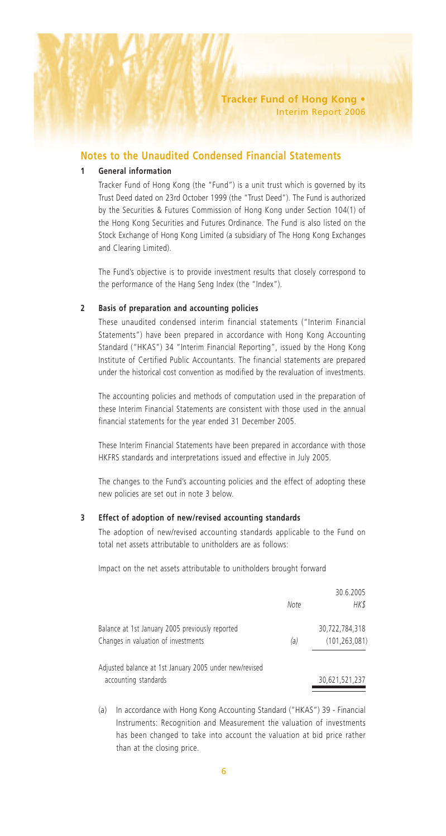#### **1 General information**

Tracker Fund of Hong Kong (the "Fund") is a unit trust which is governed by its Trust Deed dated on 23rd October 1999 (the "Trust Deed"). The Fund is authorized by the Securities & Futures Commission of Hong Kong under Section 104(1) of the Hong Kong Securities and Futures Ordinance. The Fund is also listed on the Stock Exchange of Hong Kong Limited (a subsidiary of The Hong Kong Exchanges and Clearing Limited).

The Fund's objective is to provide investment results that closely correspond to the performance of the Hang Seng Index (the "Index").

#### **2 Basis of preparation and accounting policies**

These unaudited condensed interim financial statements ("Interim Financial Statements") have been prepared in accordance with Hong Kong Accounting Standard ("HKAS") 34 "Interim Financial Reporting", issued by the Hong Kong Institute of Certified Public Accountants. The financial statements are prepared under the historical cost convention as modified by the revaluation of investments.

The accounting policies and methods of computation used in the preparation of these Interim Financial Statements are consistent with those used in the annual financial statements for the year ended 31 December 2005.

These Interim Financial Statements have been prepared in accordance with those HKFRS standards and interpretations issued and effective in July 2005.

The changes to the Fund's accounting policies and the effect of adopting these new policies are set out in note 3 below.

#### **3 Effect of adoption of new/revised accounting standards**

The adoption of new/revised accounting standards applicable to the Fund on total net assets attributable to unitholders are as follows:

Impact on the net assets attributable to unitholders brought forward

|                                                        |      | 30.6.2005       |
|--------------------------------------------------------|------|-----------------|
|                                                        | Note | HK\$            |
| Balance at 1st January 2005 previously reported        |      | 30.722.784.318  |
| Changes in valuation of investments                    | (a)  | (101, 263, 081) |
| Adjusted balance at 1st January 2005 under new/revised |      |                 |
| accounting standards                                   |      | 30,621,521,237  |

(a) In accordance with Hong Kong Accounting Standard ("HKAS") 39 - Financial Instruments: Recognition and Measurement the valuation of investments has been changed to take into account the valuation at bid price rather than at the closing price.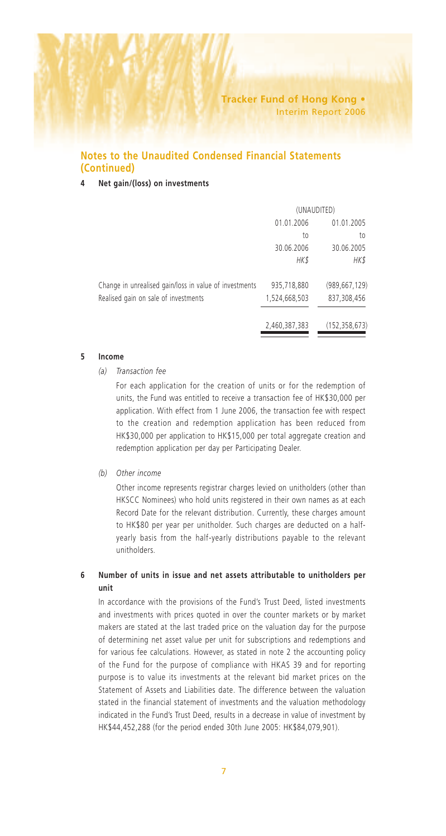#### **4 Net gain/(loss) on investments**

|                                                        | (UNAUDITED)   |                 |
|--------------------------------------------------------|---------------|-----------------|
|                                                        | 01.01.2006    | 01.01.2005      |
|                                                        | to            | to              |
|                                                        | 30.06.2006    | 30.06.2005      |
|                                                        | <b>HK\$</b>   | HK\$            |
| Change in unrealised gain/loss in value of investments | 935,718,880   | (989, 667, 129) |
| Realised gain on sale of investments                   | 1,524,668,503 | 837,308,456     |
|                                                        | 2,460,387,383 | (152, 358, 673) |

#### **5 Income**

#### *(a) Transaction fee*

For each application for the creation of units or for the redemption of units, the Fund was entitled to receive a transaction fee of HK\$30,000 per application. With effect from 1 June 2006, the transaction fee with respect to the creation and redemption application has been reduced from HK\$30,000 per application to HK\$15,000 per total aggregate creation and redemption application per day per Participating Dealer.

*(b) Other income*

Other income represents registrar charges levied on unitholders (other than HKSCC Nominees) who hold units registered in their own names as at each Record Date for the relevant distribution. Currently, these charges amount to HK\$80 per year per unitholder. Such charges are deducted on a halfyearly basis from the half-yearly distributions payable to the relevant unitholders.

## **6 Number of units in issue and net assets attributable to unitholders per unit**

In accordance with the provisions of the Fund's Trust Deed, listed investments and investments with prices quoted in over the counter markets or by market makers are stated at the last traded price on the valuation day for the purpose of determining net asset value per unit for subscriptions and redemptions and for various fee calculations. However, as stated in note 2 the accounting policy of the Fund for the purpose of compliance with HKAS 39 and for reporting purpose is to value its investments at the relevant bid market prices on the Statement of Assets and Liabilities date. The difference between the valuation stated in the financial statement of investments and the valuation methodology indicated in the Fund's Trust Deed, results in a decrease in value of investment by HK\$44,452,288 (for the period ended 30th June 2005: HK\$84,079,901).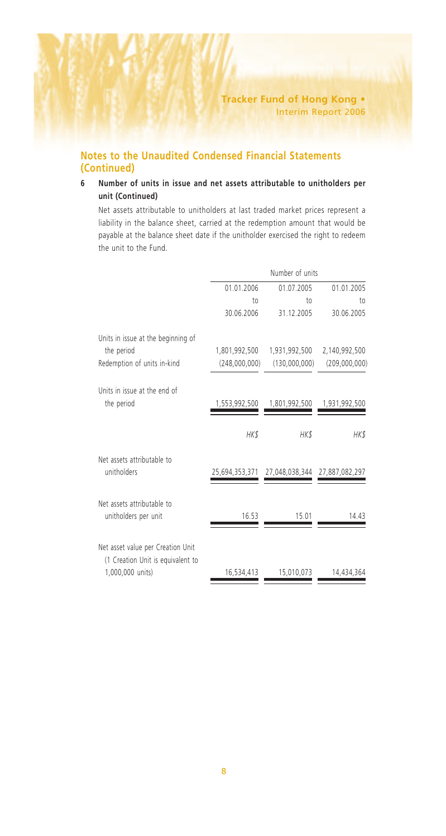## **6 Number of units in issue and net assets attributable to unitholders per unit (Continued)**

Net assets attributable to unitholders at last traded market prices represent a liability in the balance sheet, carried at the redemption amount that would be payable at the balance sheet date if the unitholder exercised the right to redeem the unit to the Fund.

|                                                                        |                | Number of units               |               |
|------------------------------------------------------------------------|----------------|-------------------------------|---------------|
|                                                                        | 01.01.2006     | 01.07.2005                    | 01.01.2005    |
|                                                                        | $†$            | to                            | to            |
|                                                                        | 30.06.2006     | 31.12.2005                    | 30.06.2005    |
| Units in issue at the beginning of                                     |                |                               |               |
| the period                                                             | 1,801,992,500  | 1,931,992,500                 | 2,140,992,500 |
| Redemption of units in-kind                                            | (248,000,000)  | (130,000,000)                 | (209,000,000) |
| Units in issue at the end of                                           |                |                               |               |
| the period                                                             | 1,553,992,500  | 1,801,992,500                 | 1,931,992,500 |
|                                                                        | HK\$           | HK\$                          | HK\$          |
| Net assets attributable to<br>unitholders                              | 25,694,353,371 | 27,048,038,344 27,887,082,297 |               |
| Net assets attributable to<br>unitholders per unit                     | 16.53          | 15.01                         | 14.43         |
| Net asset value per Creation Unit<br>(1 Creation Unit is equivalent to |                |                               |               |
| 1,000,000 units)                                                       | 16,534,413     | 15,010,073                    | 14,434,364    |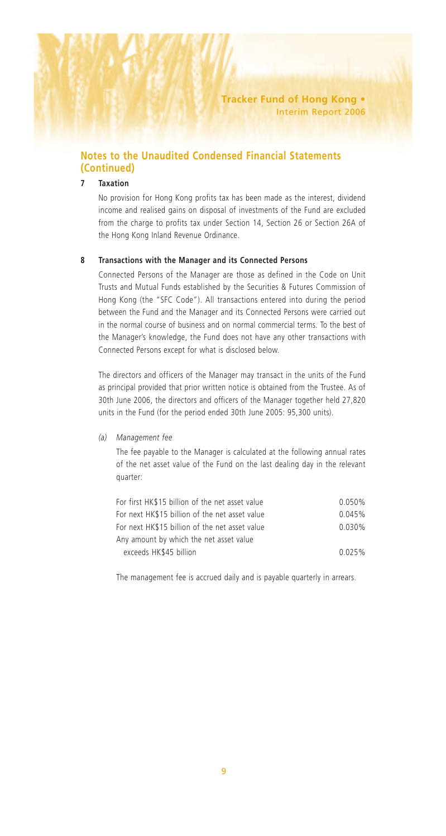## **7 Taxation**

No provision for Hong Kong profits tax has been made as the interest, dividend income and realised gains on disposal of investments of the Fund are excluded from the charge to profits tax under Section 14, Section 26 or Section 26A of the Hong Kong Inland Revenue Ordinance.

#### **8 Transactions with the Manager and its Connected Persons**

Connected Persons of the Manager are those as defined in the Code on Unit Trusts and Mutual Funds established by the Securities & Futures Commission of Hong Kong (the "SFC Code"). All transactions entered into during the period between the Fund and the Manager and its Connected Persons were carried out in the normal course of business and on normal commercial terms. To the best of the Manager's knowledge, the Fund does not have any other transactions with Connected Persons except for what is disclosed below.

The directors and officers of the Manager may transact in the units of the Fund as principal provided that prior written notice is obtained from the Trustee. As of 30th June 2006, the directors and officers of the Manager together held 27,820 units in the Fund (for the period ended 30th June 2005: 95,300 units).

#### *(a) Management fee*

The fee payable to the Manager is calculated at the following annual rates of the net asset value of the Fund on the last dealing day in the relevant quarter:

| 0.050% |
|--------|
| 0.045% |
| 0.030% |
|        |
| 0.025% |
|        |

The management fee is accrued daily and is payable quarterly in arrears.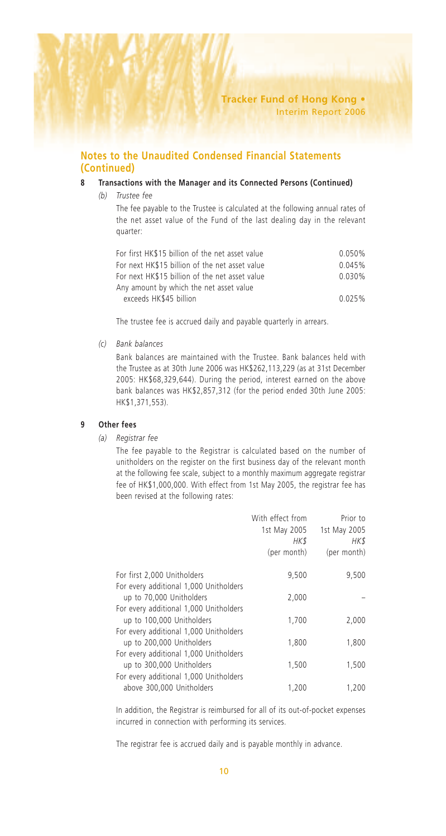#### **8 Transactions with the Manager and its Connected Persons (Continued)**

*(b) Trustee fee*

The fee payable to the Trustee is calculated at the following annual rates of the net asset value of the Fund of the last dealing day in the relevant quarter:

| 0.050% |
|--------|
| 0.045% |
| 0.030% |
|        |
| 0.025% |
|        |

The trustee fee is accrued daily and payable quarterly in arrears.

*(c) Bank balances*

Bank balances are maintained with the Trustee. Bank balances held with the Trustee as at 30th June 2006 was HK\$262,113,229 (as at 31st December 2005: HK\$68,329,644). During the period, interest earned on the above bank balances was HK\$2,857,312 (for the period ended 30th June 2005: HK\$1,371,553).

#### **9 Other fees**

*(a) Registrar fee*

The fee payable to the Registrar is calculated based on the number of unitholders on the register on the first business day of the relevant month at the following fee scale, subject to a monthly maximum aggregate registrar fee of HK\$1,000,000. With effect from 1st May 2005, the registrar fee has been revised at the following rates:

|                                                                     | With effect from<br>1st May 2005<br>HK\$<br>(per month) | Prior to<br>1st May 2005<br>HK\$<br>(per month) |
|---------------------------------------------------------------------|---------------------------------------------------------|-------------------------------------------------|
| For first 2,000 Unitholders                                         | 9,500                                                   | 9,500                                           |
| For every additional 1,000 Unitholders<br>up to 70,000 Unitholders  | 2,000                                                   |                                                 |
| For every additional 1,000 Unitholders<br>up to 100,000 Unitholders | 1,700                                                   | 2,000                                           |
| For every additional 1,000 Unitholders<br>up to 200,000 Unitholders | 1,800                                                   | 1,800                                           |
| For every additional 1,000 Unitholders                              |                                                         |                                                 |
| up to 300,000 Unitholders<br>For every additional 1,000 Unitholders | 1,500                                                   | 1,500                                           |
| above 300,000 Unitholders                                           | 1.200                                                   | 1.200                                           |

In addition, the Registrar is reimbursed for all of its out-of-pocket expenses incurred in connection with performing its services.

The registrar fee is accrued daily and is payable monthly in advance.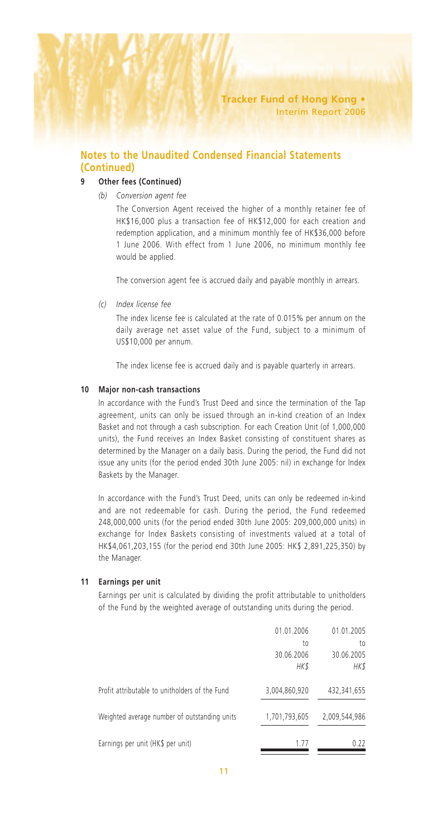#### **9 Other fees (Continued)**

*(b) Conversion agent fee*

The Conversion Agent received the higher of a monthly retainer fee of HK\$16,000 plus a transaction fee of HK\$12,000 for each creation and redemption application, and a minimum monthly fee of HK\$36,000 before 1 June 2006. With effect from 1 June 2006, no minimum monthly fee would be applied.

The conversion agent fee is accrued daily and payable monthly in arrears.

*(c) Index license fee*

The index license fee is calculated at the rate of 0.015% per annum on the daily average net asset value of the Fund, subject to a minimum of US\$10,000 per annum.

The index license fee is accrued daily and is payable quarterly in arrears.

#### **10 Major non-cash transactions**

In accordance with the Fund's Trust Deed and since the termination of the Tap agreement, units can only be issued through an in-kind creation of an Index Basket and not through a cash subscription. For each Creation Unit (of 1,000,000 units), the Fund receives an Index Basket consisting of constituent shares as determined by the Manager on a daily basis. During the period, the Fund did not issue any units (for the period ended 30th June 2005: nil) in exchange for Index Baskets by the Manager.

In accordance with the Fund's Trust Deed, units can only be redeemed in-kind and are not redeemable for cash. During the period, the Fund redeemed 248,000,000 units (for the period ended 30th June 2005: 209,000,000 units) in exchange for Index Baskets consisting of investments valued at a total of HK\$4,061,203,155 (for the period end 30th June 2005: HK\$ 2,891,225,350) by the Manager.

#### **11 Earnings per unit**

Earnings per unit is calculated by dividing the profit attributable to unitholders of the Fund by the weighted average of outstanding units during the period.

|                                                | 01.01.2006<br>to<br>30.06.2006<br>HK\$ | 01.01.2005<br>to<br>30.06.2005<br>HK\$ |
|------------------------------------------------|----------------------------------------|----------------------------------------|
| Profit attributable to unitholders of the Fund | 3,004,860,920                          | 432,341,655                            |
| Weighted average number of outstanding units   | 1,701,793,605                          | 2,009,544,986                          |
| Earnings per unit (HK\$ per unit)              | 1.77                                   | 0.22                                   |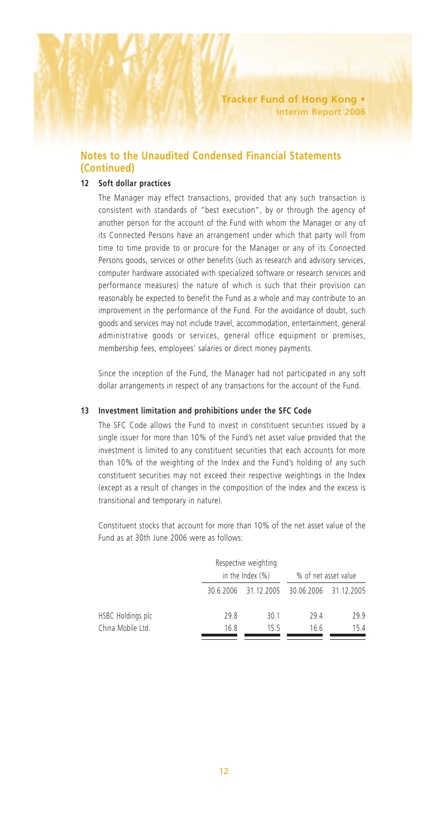## **12 Soft dollar practices**

The Manager may effect transactions, provided that any such transaction is consistent with standards of "best execution", by or through the agency of another person for the account of the Fund with whom the Manager or any of its Connected Persons have an arrangement under which that party will from time to time provide to or procure for the Manager or any of its Connected Persons goods, services or other benefits (such as research and advisory services, computer hardware associated with specialized software or research services and performance measures) the nature of which is such that their provision can reasonably be expected to benefit the Fund as a whole and may contribute to an improvement in the performance of the Fund. For the avoidance of doubt, such goods and services may not include travel, accommodation, entertainment, general administrative goods or services, general office equipment or premises, membership fees, employees' salaries or direct money payments.

Since the inception of the Fund, the Manager had not participated in any soft dollar arrangements in respect of any transactions for the account of the Fund.

#### **13 Investment limitation and prohibitions under the SFC Code**

The SFC Code allows the Fund to invest in constituent securities issued by a single issuer for more than 10% of the Fund's net asset value provided that the investment is limited to any constituent securities that each accounts for more than 10% of the weighting of the Index and the Fund's holding of any such constituent securities may not exceed their respective weightings in the Index (except as a result of changes in the composition of the Index and the excess is transitional and temporary in nature).

Constituent stocks that account for more than 10% of the net asset value of the Fund as at 30th June 2006 were as follows:

|                   |      | Respective weighting<br>in the Index $(\%)$ |                                            | % of net asset value |  |
|-------------------|------|---------------------------------------------|--------------------------------------------|----------------------|--|
|                   |      |                                             | 30.6.2006 31.12.2005 30.06.2006 31.12.2005 |                      |  |
| HSBC Holdings plc | 29.8 | 30.1                                        | 294                                        | 29.9                 |  |
| China Mobile Ltd. | 16.8 | 155                                         | 16.6                                       | 15.4                 |  |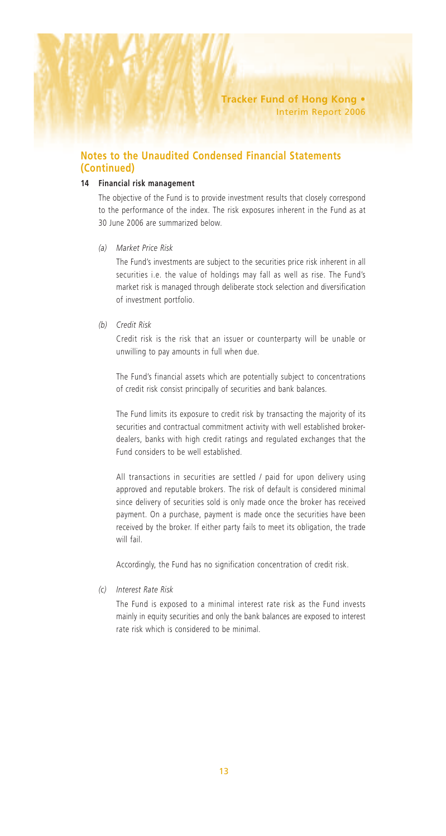## **14 Financial risk management**

The objective of the Fund is to provide investment results that closely correspond to the performance of the index. The risk exposures inherent in the Fund as at 30 June 2006 are summarized below.

#### *(a) Market Price Risk*

The Fund's investments are subject to the securities price risk inherent in all securities i.e. the value of holdings may fall as well as rise. The Fund's market risk is managed through deliberate stock selection and diversification of investment portfolio.

#### *(b) Credit Risk*

Credit risk is the risk that an issuer or counterparty will be unable or unwilling to pay amounts in full when due.

The Fund's financial assets which are potentially subject to concentrations of credit risk consist principally of securities and bank balances.

The Fund limits its exposure to credit risk by transacting the majority of its securities and contractual commitment activity with well established brokerdealers, banks with high credit ratings and regulated exchanges that the Fund considers to be well established.

All transactions in securities are settled / paid for upon delivery using approved and reputable brokers. The risk of default is considered minimal since delivery of securities sold is only made once the broker has received payment. On a purchase, payment is made once the securities have been received by the broker. If either party fails to meet its obligation, the trade will fail.

Accordingly, the Fund has no signification concentration of credit risk.

*(c) Interest Rate Risk*

The Fund is exposed to a minimal interest rate risk as the Fund invests mainly in equity securities and only the bank balances are exposed to interest rate risk which is considered to be minimal.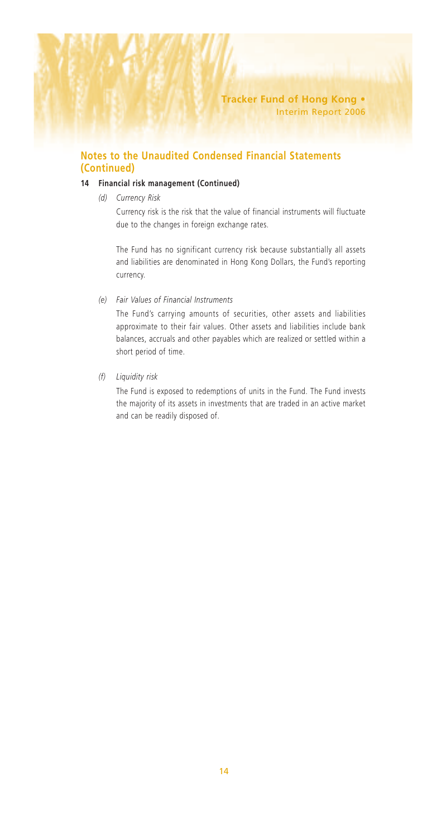## **14 Financial risk management (Continued)**

*(d) Currency Risk*

Currency risk is the risk that the value of financial instruments will fluctuate due to the changes in foreign exchange rates.

The Fund has no significant currency risk because substantially all assets and liabilities are denominated in Hong Kong Dollars, the Fund's reporting currency.

*(e) Fair Values of Financial Instruments*

The Fund's carrying amounts of securities, other assets and liabilities approximate to their fair values. Other assets and liabilities include bank balances, accruals and other payables which are realized or settled within a short period of time.

*(f) Liquidity risk*

The Fund is exposed to redemptions of units in the Fund. The Fund invests the majority of its assets in investments that are traded in an active market and can be readily disposed of.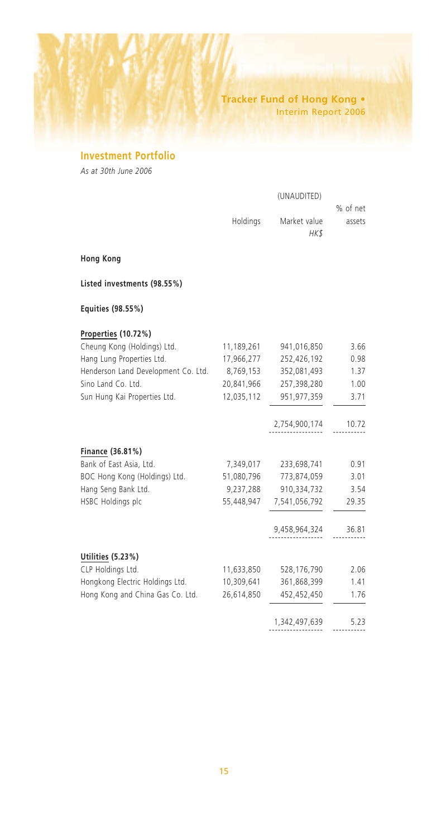# **Tracker Fund of Hong Kong •** Interim Report 2006

# **Investment Portfolio**

*As at 30th June 2006*

| (UNAUDITED)  |          |
|--------------|----------|
|              | % of net |
| Market value | assets   |
| HK\$         |          |
|              |          |

**Hong Kong**

**Listed investments (98.55%)**

# **Equities (98.55%)**

#### **Properties (10.72%)**

| Cheung Kong (Holdings) Ltd.         | 11,189,261 | 941,016,850   | 3.66  |
|-------------------------------------|------------|---------------|-------|
| Hang Lung Properties Ltd.           | 17,966,277 | 252,426,192   | 0.98  |
| Henderson Land Development Co. Ltd. | 8,769,153  | 352,081,493   | 1.37  |
| Sino Land Co. Ltd.                  | 20,841,966 | 257,398,280   | 1.00  |
| Sun Hung Kai Properties Ltd.        | 12,035,112 | 951,977,359   | 3.71  |
|                                     |            | 2,754,900,174 | 10.72 |
| Finance (36.81%)                    |            |               |       |
| Bank of East Asia, Ltd.             | 7,349,017  | 233,698,741   | 0.91  |
| BOC Hong Kong (Holdings) Ltd.       | 51,080,796 | 773,874,059   | 3.01  |
| Hang Seng Bank Ltd.                 | 9,237,288  | 910,334,732   | 3.54  |
| HSBC Holdings plc                   | 55,448,947 | 7,541,056,792 | 29.35 |
|                                     |            | 9,458,964,324 | 36.81 |
| Utilities (5.23%)                   |            |               |       |
| CLP Holdings Ltd.                   | 11,633,850 | 528,176,790   | 2.06  |
| Hongkong Electric Holdings Ltd.     | 10,309,641 | 361,868,399   | 1.41  |
| Hong Kong and China Gas Co. Ltd.    | 26,614,850 | 452,452,450   | 1.76  |
|                                     |            | 1,342,497,639 | 5.23  |
|                                     |            |               |       |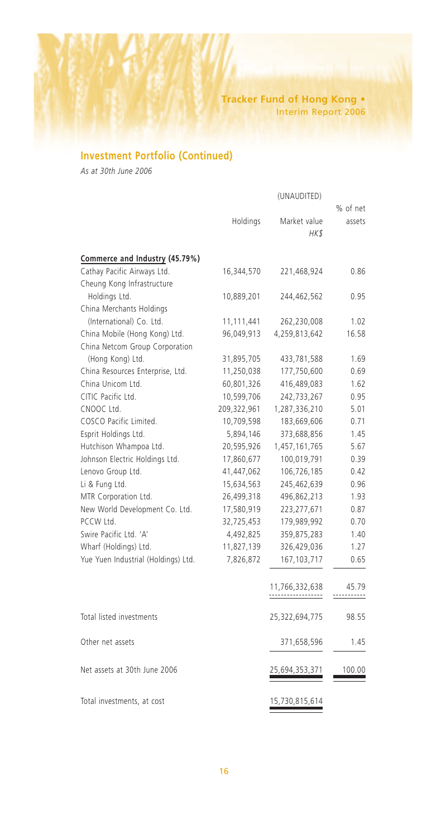# **Tracker Fund of Hong Kong •** Interim Report 2006

# **Investment Portfolio (Continued)**

*As at 30th June 2006*

|                                     |             | (UNAUDITED)          |           |
|-------------------------------------|-------------|----------------------|-----------|
|                                     |             |                      | % of net  |
|                                     | Holdings    | Market value<br>HK\$ | assets    |
|                                     |             |                      |           |
| Commerce and Industry (45.79%)      |             |                      |           |
| Cathay Pacific Airways Ltd.         | 16,344,570  | 221,468,924          | 0.86      |
| Cheung Kong Infrastructure          |             |                      |           |
| Holdings Ltd.                       | 10,889,201  | 244,462,562          | 0.95      |
| China Merchants Holdings            |             |                      |           |
| (International) Co. Ltd.            | 11,111,441  | 262,230,008          | 1.02      |
| China Mobile (Hong Kong) Ltd.       | 96,049,913  | 4,259,813,642        | 16.58     |
| China Netcom Group Corporation      |             |                      |           |
| (Hong Kong) Ltd.                    | 31,895,705  | 433,781,588          | 1.69      |
| China Resources Enterprise, Ltd.    | 11,250,038  | 177,750,600          | 0.69      |
| China Unicom Ltd.                   | 60,801,326  | 416,489,083          | 1.62      |
| CITIC Pacific Ltd.                  | 10,599,706  | 242,733,267          | 0.95      |
| CNOOC Ltd.                          | 209,322,961 | 1,287,336,210        | 5.01      |
| COSCO Pacific Limited.              | 10,709,598  | 183,669,606          | 0.71      |
| Esprit Holdings Ltd.                | 5,894,146   | 373,688,856          | 1.45      |
| Hutchison Whampoa Ltd.              | 20,595,926  | 1,457,161,765        | 5.67      |
| Johnson Electric Holdings Ltd.      | 17,860,677  | 100,019,791          | 0.39      |
| Lenovo Group Ltd.                   | 41,447,062  | 106,726,185          | 0.42      |
| Li & Fung Ltd.                      | 15,634,563  | 245,462,639          | 0.96      |
| MTR Corporation Ltd.                | 26,499,318  | 496,862,213          | 1.93      |
| New World Development Co. Ltd.      | 17,580,919  | 223, 277, 671        | 0.87      |
| PCCW Ltd.                           | 32,725,453  | 179,989,992          | 0.70      |
| Swire Pacific Ltd. 'A'              | 4,492,825   | 359,875,283          | 1.40      |
| Wharf (Holdings) Ltd.               | 11,827,139  | 326,429,036          | 1.27      |
| Yue Yuen Industrial (Holdings) Ltd. | 7,826,872   | 167, 103, 717        | 0.65      |
|                                     |             | 11,766,332,638<br>   | 45.79<br> |
| Total listed investments            |             | 25,322,694,775       | 98.55     |
| Other net assets                    |             | 371,658,596          | 1.45      |
| Net assets at 30th June 2006        |             | 25,694,353,371       | 100.00    |
| Total investments, at cost          |             | 15,730,815,614       |           |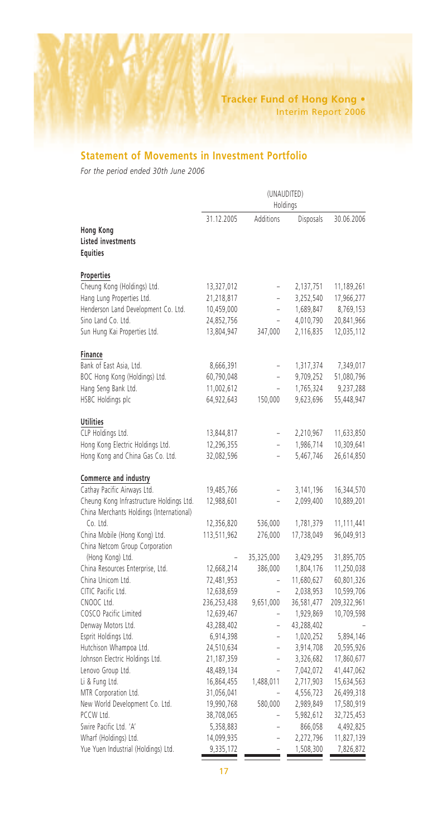# **Statement of Movements in Investment Portfolio**

*For the period ended 30th June 2006*

|                                                           | (UNAUDITED)<br>Holdings |                          |            |             |
|-----------------------------------------------------------|-------------------------|--------------------------|------------|-------------|
|                                                           | 31.12.2005              | Additions                | Disposals  | 30.06.2006  |
| <b>Hong Kong</b><br>Listed investments<br><b>Equities</b> |                         |                          |            |             |
| Properties                                                |                         |                          |            |             |
| Cheung Kong (Holdings) Ltd.                               | 13,327,012              | $\overline{a}$           | 2,137,751  | 11,189,261  |
| Hang Lung Properties Ltd.                                 | 21,218,817              | $\overline{\phantom{0}}$ | 3,252,540  | 17,966,277  |
| Henderson Land Development Co. Ltd.                       | 10,459,000              | $\overline{a}$           | 1,689,847  | 8,769,153   |
| Sino Land Co. Ltd.                                        | 24,852,756              | $\overline{a}$           | 4,010,790  | 20,841,966  |
| Sun Hung Kai Properties Ltd.                              | 13,804,947              | 347,000                  | 2,116,835  | 12,035,112  |
| Finance                                                   |                         |                          |            |             |
| Bank of East Asia, Ltd.                                   | 8,666,391               | -                        | 1,317,374  | 7,349,017   |
| BOC Hong Kong (Holdings) Ltd.                             | 60,790,048              | L,                       | 9,709,252  | 51,080,796  |
| Hang Seng Bank Ltd.                                       | 11,002,612              | ÷                        | 1,765,324  | 9,237,288   |
| HSBC Holdings plc                                         | 64,922,643              | 150,000                  | 9,623,696  | 55,448,947  |
| <b>Utilities</b>                                          |                         |                          |            |             |
| CLP Holdings Ltd.                                         | 13,844,817              |                          | 2,210,967  | 11,633,850  |
| Hong Kong Electric Holdings Ltd.                          | 12,296,355              |                          | 1,986,714  | 10,309,641  |
| Hong Kong and China Gas Co. Ltd.                          | 32,082,596              | -                        | 5,467,746  | 26,614,850  |
| Commerce and industry                                     |                         |                          |            |             |
| Cathay Pacific Airways Ltd.                               | 19,485,766              |                          | 3,141,196  | 16,344,570  |
| Cheung Kong Infrastructure Holdings Ltd.                  | 12,988,601              | ÷                        | 2,099,400  | 10,889,201  |
| China Merchants Holdings (International)                  |                         |                          |            |             |
| Co. Ltd.                                                  | 12,356,820              | 536,000                  | 1,781,379  | 11,111,441  |
| China Mobile (Hong Kong) Ltd.                             | 113,511,962             | 276,000                  | 17,738,049 | 96,049,913  |
| China Netcom Group Corporation                            |                         |                          |            |             |
| (Hong Kong) Ltd.                                          |                         | 35,325,000               | 3,429,295  | 31,895,705  |
| China Resources Enterprise, Ltd.                          | 12,668,214              | 386,000                  | 1,804,176  | 11,250,038  |
| China Unicom Ltd.                                         | 72,481,953              | ÷                        | 11,680,627 | 60,801,326  |
| CITIC Pacific Ltd.                                        | 12,638,659              | ÷                        | 2,038,953  | 10,599,706  |
| CNOOC Ltd.                                                | 236,253,438             | 9,651,000                | 36,581,477 | 209,322,961 |
| COSCO Pacific Limited                                     | 12,639,467              | $\overline{a}$           | 1,929,869  | 10,709,598  |
| Denway Motors Ltd.                                        | 43,288,402              | ÷                        | 43,288,402 |             |
| Esprit Holdings Ltd.                                      | 6,914,398               | -                        | 1,020,252  | 5,894,146   |
| Hutchison Whampoa Ltd.                                    | 24,510,634              | ÷                        | 3,914,708  | 20,595,926  |
| Johnson Electric Holdings Ltd.                            | 21,187,359              | $\overline{a}$           | 3,326,682  | 17,860,677  |
| Lenovo Group Ltd.                                         | 48,489,134              | $\overline{\phantom{0}}$ | 7,042,072  | 41,447,062  |
| Li & Fung Ltd.                                            | 16,864,455              | 1,488,011                | 2,717,903  | 15,634,563  |
| MTR Corporation Ltd.                                      | 31,056,041              |                          | 4,556,723  | 26,499,318  |
| New World Development Co. Ltd.                            | 19,990,768              | 580,000                  | 2,989,849  | 17,580,919  |
| PCCW Ltd.                                                 | 38,708,065              | $\overline{a}$           | 5,982,612  | 32,725,453  |
| Swire Pacific Ltd. 'A'                                    | 5,358,883               | ÷                        | 866,058    | 4,492,825   |
| Wharf (Holdings) Ltd.                                     | 14,099,935              | $\overline{a}$           | 2,272,796  | 11,827,139  |
| Yue Yuen Industrial (Holdings) Ltd.                       | 9,335,172               |                          | 1,508,300  | 7,826,872   |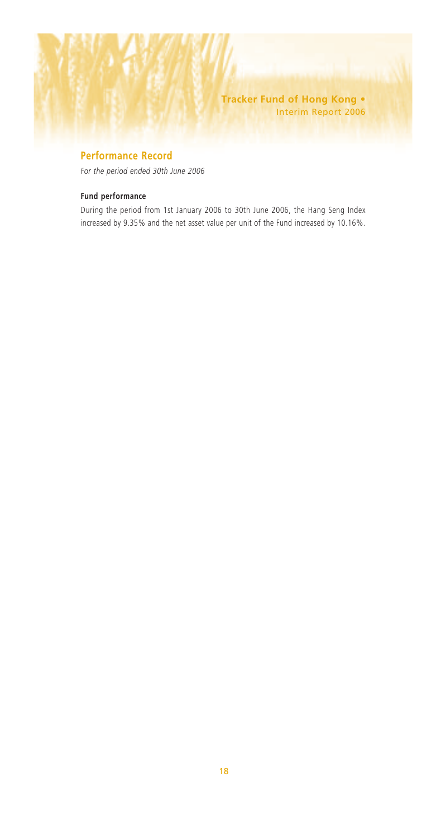**Tracker Fund of Hong Kong •** Interim Report 2006

# **Performance Record**

*For the period ended 30th June 2006*

## **Fund performance**

During the period from 1st January 2006 to 30th June 2006, the Hang Seng Index increased by 9.35% and the net asset value per unit of the Fund increased by 10.16%.